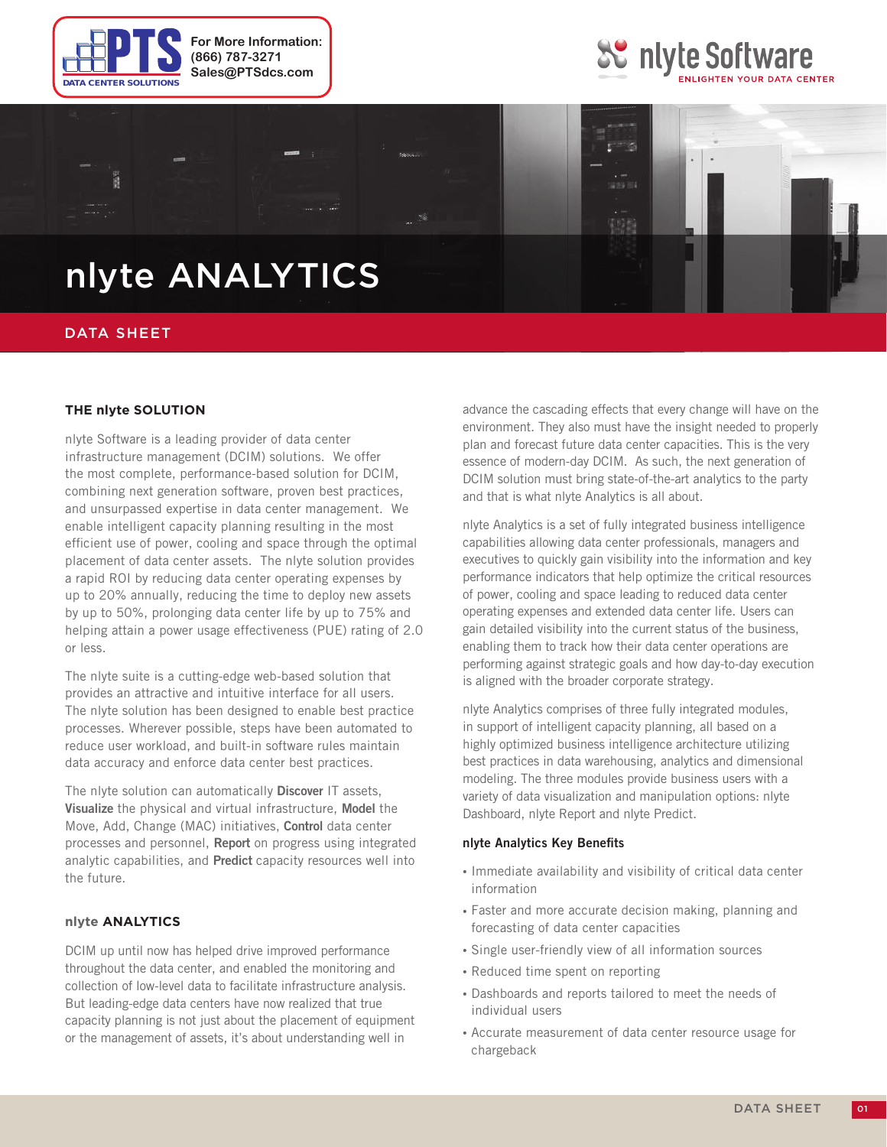



# DATA SHEET

# **THE nlyte SOLUTION**

nlyte Software is a leading provider of data center infrastructure management (DCIM) solutions. We offer the most complete, performance-based solution for DCIM, combining next generation software, proven best practices, and unsurpassed expertise in data center management. We enable intelligent capacity planning resulting in the most efficient use of power, cooling and space through the optimal placement of data center assets. The nlyte solution provides a rapid ROI by reducing data center operating expenses by up to 20% annually, reducing the time to deploy new assets by up to 50%, prolonging data center life by up to 75% and helping attain a power usage effectiveness (PUE) rating of 2.0 or less.

The nlyte suite is a cutting-edge web-based solution that provides an attractive and intuitive interface for all users. The nlyte solution has been designed to enable best practice processes. Wherever possible, steps have been automated to reduce user workload, and built-in software rules maintain data accuracy and enforce data center best practices.

The nlyte solution can automatically **Discover** IT assets, **Visualize** the physical and virtual infrastructure, **Model** the Move, Add, Change (MAC) initiatives, **Control** data center processes and personnel, **Report** on progress using integrated analytic capabilities, and **Predict** capacity resources well into the future.

### **nlyte ANALYTICS**

DCIM up until now has helped drive improved performance throughout the data center, and enabled the monitoring and collection of low-level data to facilitate infrastructure analysis. But leading-edge data centers have now realized that true capacity planning is not just about the placement of equipment or the management of assets, it's about understanding well in

advance the cascading effects that every change will have on the environment. They also must have the insight needed to properly plan and forecast future data center capacities. This is the very essence of modern-day DCIM. As such, the next generation of DCIM solution must bring state-of-the-art analytics to the party and that is what nlyte Analytics is all about.

nlyte Analytics is a set of fully integrated business intelligence capabilities allowing data center professionals, managers and executives to quickly gain visibility into the information and key performance indicators that help optimize the critical resources of power, cooling and space leading to reduced data center operating expenses and extended data center life. Users can gain detailed visibility into the current status of the business, enabling them to track how their data center operations are performing against strategic goals and how day-to-day execution is aligned with the broader corporate strategy.

nlyte Analytics comprises of three fully integrated modules, in support of intelligent capacity planning, all based on a highly optimized business intelligence architecture utilizing best practices in data warehousing, analytics and dimensional modeling. The three modules provide business users with a variety of data visualization and manipulation options: nlyte Dashboard, nlyte Report and nlyte Predict.

#### **nlyte Analytics Key Benefits**

- Immediate availability and visibility of critical data center information
- Faster and more accurate decision making, planning and forecasting of data center capacities
- Single user-friendly view of all information sources
- Reduced time spent on reporting
- Dashboards and reports tailored to meet the needs of individual users
- • Accurate measurement of data center resource usage for chargeback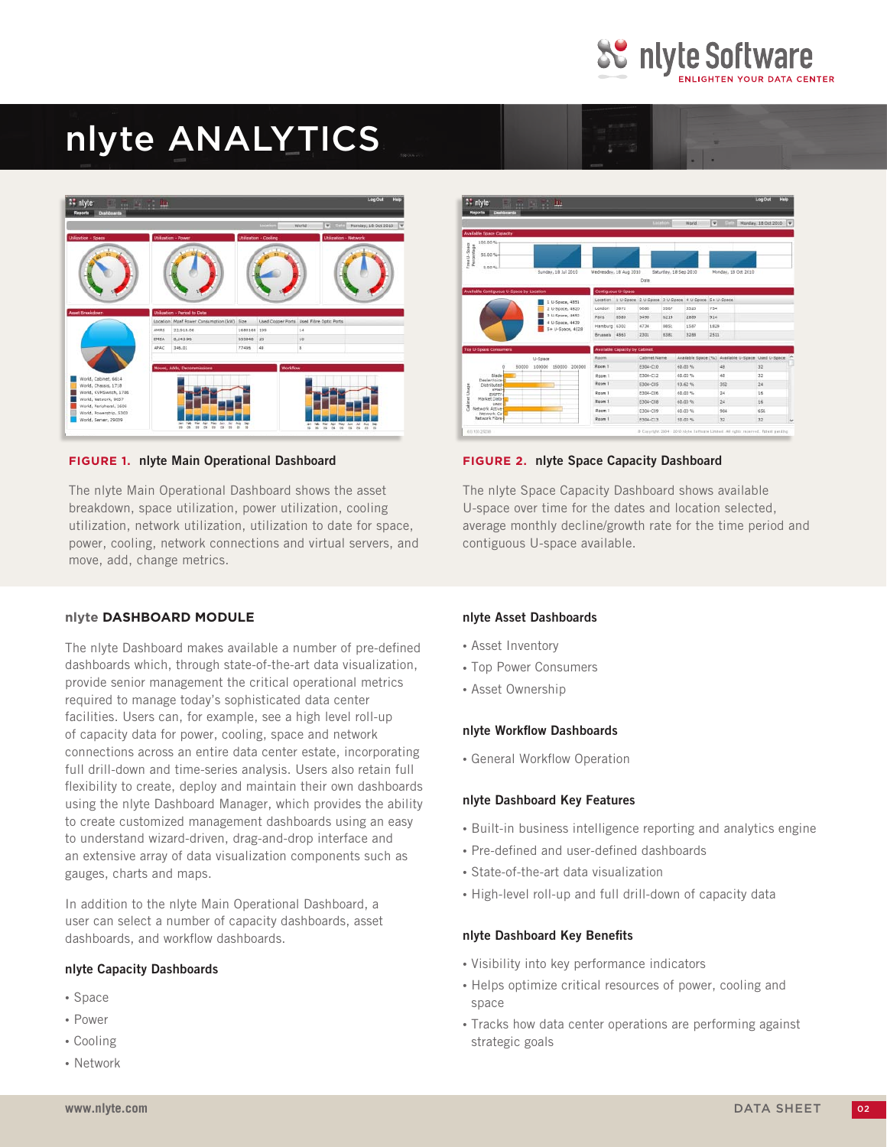



#### **FIGURE 1. nlyte Main Operational Dashboard**

The nlyte Main Operational Dashboard shows the asset breakdown, space utilization, power utilization, cooling utilization, network utilization, utilization to date for space, power, cooling, network connections and virtual servers, and move, add, change metrics.

# 2301 **KIRT** 3288 2511 Roam I<br>Rasm I E304-005 93.62% 60.00 %  $0.00$  9 10.00%

#### **FIGURE 2. nlyte Space Capacity Dashboard**

The nlyte Space Capacity Dashboard shows available U-space over time for the dates and location selected, average monthly decline/growth rate for the time period and contiguous U-space available.

#### **nlyte DASHBOARD MODULE**

The nlyte Dashboard makes available a number of pre-defined dashboards which, through state-of-the-art data visualization, provide senior management the critical operational metrics required to manage today's sophisticated data center facilities. Users can, for example, see a high level roll-up of capacity data for power, cooling, space and network connections across an entire data center estate, incorporating full drill-down and time-series analysis. Users also retain full flexibility to create, deploy and maintain their own dashboards using the nlyte Dashboard Manager, which provides the ability to create customized management dashboards using an easy to understand wizard-driven, drag-and-drop interface and an extensive array of data visualization components such as gauges, charts and maps.

In addition to the nlyte Main Operational Dashboard, a user can select a number of capacity dashboards, asset dashboards, and workflow dashboards.

#### **nlyte Capacity Dashboards**

- • Space
- • Power
- • Cooling
- • Network

#### **nlyte Asset Dashboards**

- Asset Inventory
- • Top Power Consumers
- Asset Ownership

#### **nlyte Workflow Dashboards**

• General Workflow Operation

#### **nlyte Dashboard Key Features**

- Built-in business intelligence reporting and analytics engine
- Pre-defined and user-defined dashboards
- State-of-the-art data visualization
- High-level roll-up and full drill-down of capacity data

#### **nlyte Dashboard Key Benefits**

- • Visibility into key performance indicators
- Helps optimize critical resources of power, cooling and space
- Tracks how data center operations are performing against strategic goals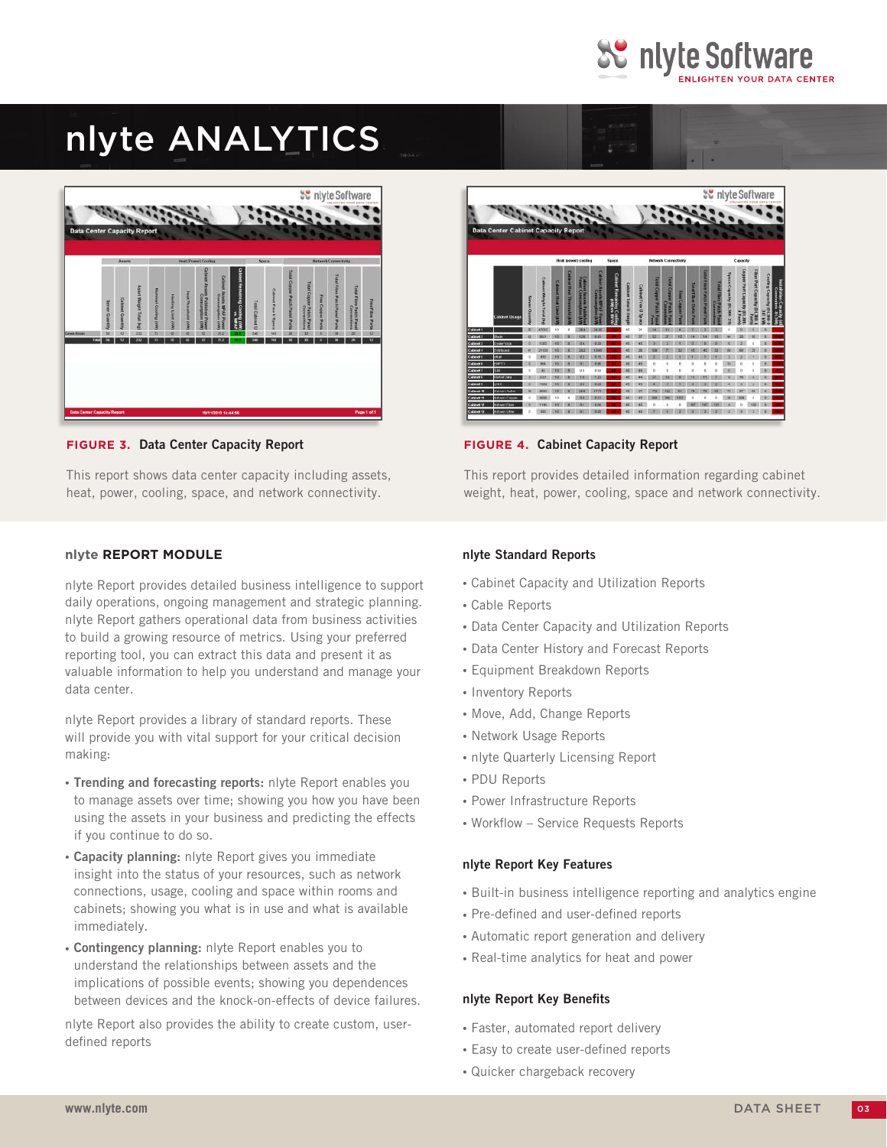



**FIGURE 3. Data Center Capacity Report**

This report shows data center capacity including assets, heat, power, cooling, space, and network connectivity.

# **nlyte REPORT MODULE**

nlyte Report provides detailed business intelligence to support daily operations, ongoing management and strategic planning. nlyte Report gathers operational data from business activities to build a growing resource of metrics. Using your preferred reporting tool, you can extract this data and present it as valuable information to help you understand and manage your data center.

nlyte Report provides a library of standard reports. These will provide you with vital support for your critical decision making:

- **Trending and forecasting reports:** nlyte Report enables you to manage assets over time; showing you how you have been using the assets in your business and predicting the effects if you continue to do so.
- • **Capacity planning:** nlyte Report gives you immediate insight into the status of your resources, such as network connections, usage, cooling and space within rooms and cabinets; showing you what is in use and what is available immediately.
- • **Contingency planning:** nlyte Report enables you to understand the relationships between assets and the implications of possible events; showing you dependences between devices and the knock-on-effects of device failures.

nlyte Report also provides the ability to create custom, userdefined reports



## **FIGURE 4. Cabinet Capacity Report**

This report provides detailed information regarding cabinet weight, heat, power, cooling, space and network connectivity.

### **nlyte Standard Reports**

- • Cabinet Capacity and Utilization Reports
- • Cable Reports
- Data Center Capacity and Utilization Reports
- Data Center History and Forecast Reports
- • Equipment Breakdown Reports
- Inventory Reports
- • Move, Add, Change Reports
- Network Usage Reports
- nlyte Quarterly Licensing Report
- PDU Reports
- Power Infrastructure Reports
- Workflow Service Requests Reports

#### **nlyte Report Key Features**

- Built-in business intelligence reporting and analytics engine
- Pre-defined and user-defined reports
- Automatic report generation and delivery
- Real-time analytics for heat and power

#### **nlyte Report Key Benefits**

- Faster, automated report delivery
- Easy to create user-defined reports
- Quicker chargeback recovery